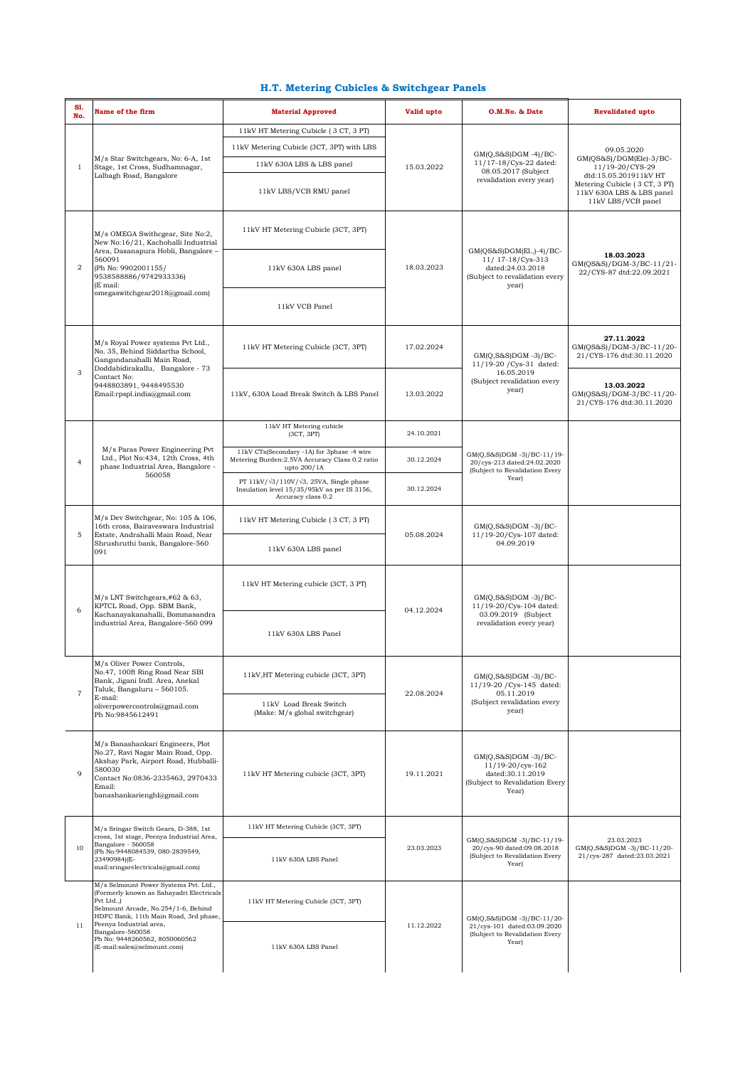## **H.T. Metering Cubicles & Switchgear Panels**

| S1.<br>No.     | Name of the firm                                                                                                                                                                                                                                                                               | <b>Material Approved</b>                                                                                                   | Valid upto | O.M.No. & Date                                                                                               | <b>Revalidated upto</b>                                                                                                                                               |
|----------------|------------------------------------------------------------------------------------------------------------------------------------------------------------------------------------------------------------------------------------------------------------------------------------------------|----------------------------------------------------------------------------------------------------------------------------|------------|--------------------------------------------------------------------------------------------------------------|-----------------------------------------------------------------------------------------------------------------------------------------------------------------------|
| 1              |                                                                                                                                                                                                                                                                                                | 11kV HT Metering Cubicle (3 CT, 3 PT)                                                                                      | 15.03.2022 | $GM(Q,S&S)DGM -4)/BC-$<br>11/17-18/Cys-22 dated:<br>08.05.2017 (Subject<br>revalidation every year)          | 09.05.2020<br>GM(QS&S)/DGM(Ele)-3/BC-<br>11/19-20/CYS-29<br>dtd:15.05.201911kV HT<br>Metering Cubicle (3 CT, 3 PT)<br>11kV 630A LBS & LBS panel<br>11kV LBS/VCB panel |
|                |                                                                                                                                                                                                                                                                                                | 11kV Metering Cubicle (3CT, 3PT) with LBS                                                                                  |            |                                                                                                              |                                                                                                                                                                       |
|                | M/s Star Switchgears, No: 6-A, 1st<br>Stage, 1st Cross, Sudhamnagar,                                                                                                                                                                                                                           | 11kV 630A LBS & LBS panel                                                                                                  |            |                                                                                                              |                                                                                                                                                                       |
|                | Lalbagh Road, Bangalore                                                                                                                                                                                                                                                                        | 11kV LBS/VCB RMU panel                                                                                                     |            |                                                                                                              |                                                                                                                                                                       |
| $\overline{2}$ | M/s OMEGA Swithcgear, Site No:2,<br>New No:16/21, Kachohalli Industrial<br>Area, Dasanapura Hobli, Bangalore -<br>560091<br>(Ph No: 9902001155/<br>9538588886/9742933336)<br>(E mail:<br>omegaswitchgear2018@gmail.com)                                                                        | 11kV HT Metering Cubicle (3CT, 3PT)                                                                                        | 18.03.2023 | GM(QS&S)DGM(El.,)-4)/BC-<br>11/ 17-18/Cys-313<br>dated:24.03.2018<br>(Subject to revalidation every<br>year) | 18.03.2023<br>GM(QS&S)/DGM-3/BC-11/21-<br>22/CYS-87 dtd:22.09.2021                                                                                                    |
|                |                                                                                                                                                                                                                                                                                                | 11kV 630A LBS panel                                                                                                        |            |                                                                                                              |                                                                                                                                                                       |
|                |                                                                                                                                                                                                                                                                                                | 11kV VCB Panel                                                                                                             |            |                                                                                                              |                                                                                                                                                                       |
| 3              | M/s Royal Power systems Pvt Ltd.,<br>No. 35, Behind Siddartha School,<br>Gangondanahalli Main Road,<br>Doddabidirakallu, Bangalore - 73<br>Contact No:<br>9448803891, 9448495530<br>Email:rpspl.india@gmail.com                                                                                | 11kV HT Metering Cubicle (3CT, 3PT)                                                                                        | 17.02.2024 | $GM(Q,S&S)DGM -3)/BC-$<br>11/19-20 / Cys-31 dated:<br>16.05.2019<br>(Subject revalidation every<br>year)     | 27.11.2022<br>GM(QS&S)/DGM-3/BC-11/20-<br>21/CYS-176 dtd:30.11.2020                                                                                                   |
|                |                                                                                                                                                                                                                                                                                                | 11kV, 630A Load Break Switch & LBS Panel                                                                                   | 13.03.2022 |                                                                                                              | 13.03.2022<br>GM(QS&S)/DGM-3/BC-11/20-<br>21/CYS-176 dtd:30.11.2020                                                                                                   |
| $\overline{4}$ | M/s Paras Power Engineering Pvt<br>Ltd., Plot No:434, 12th Cross, 4th<br>phase Industrial Area, Bangalore -<br>560058                                                                                                                                                                          | 11kV HT Metering cubicle<br>(3CT, 3PT)                                                                                     | 24.10.2021 |                                                                                                              |                                                                                                                                                                       |
|                |                                                                                                                                                                                                                                                                                                | 11kV CTs(Secondary -1A) for 3phase -4 wire<br>Metering Burden: 2.5VA Accuracy Class 0.2 ratio<br>upto 200/1A               | 30.12.2024 | GM(Q,S&S)DGM -3)/BC-11/19-<br>20/cys-213 dated:24.02.2020<br>(Subject to Revalidation Every<br>Year)         |                                                                                                                                                                       |
|                |                                                                                                                                                                                                                                                                                                | PT $11kV/\sqrt{3}/110V/\sqrt{3}$ , 25VA, Single phase<br>Insulation level 15/35/95kV as per IS 3156,<br>Accuracy class 0.2 | 30.12.2024 |                                                                                                              |                                                                                                                                                                       |
| 5              | M/s Dev Switchgear, No: 105 & 106,<br>16th cross, Bairaveswara Industrial<br>Estate, Andrahalli Main Road, Near<br>Shrushruthi bank, Bangalore-560<br>091                                                                                                                                      | 11kV HT Metering Cubicle (3 CT, 3 PT)                                                                                      | 05.08.2024 | $GM(Q,S&S)DGM -3)/BC-$<br>11/19-20/Cys-107 dated:<br>04.09.2019                                              |                                                                                                                                                                       |
|                |                                                                                                                                                                                                                                                                                                | 11kV 630A LBS panel                                                                                                        |            |                                                                                                              |                                                                                                                                                                       |
| 6              | M/s LNT Switchgears,#62 & 63,<br>KPTCL Road, Opp. SBM Bank,<br>Kachanayakanahalli, Bommasandra<br>industrial Area, Bangalore-560 099                                                                                                                                                           | 11kV HT Metering cubicle (3CT, 3 PT)                                                                                       | 04.12.2024 | GM(O.S&S)DGM -3)/BC-<br>11/19-20/Cys-104 dated:<br>03.09.2019 (Subject<br>revalidation every year)           |                                                                                                                                                                       |
|                |                                                                                                                                                                                                                                                                                                | 11kV 630A LBS Panel                                                                                                        |            |                                                                                                              |                                                                                                                                                                       |
| $\overline{7}$ | M/s Oliver Power Controls,<br>No.47, 100ft Ring Road Near SBI<br>Bank, Jigani Indl. Area, Anekal<br>Taluk, Bangaluru - 560105.<br>E-mail:<br>oliverpowercontrols@gmail.com<br>Ph No:9845612491                                                                                                 | 11kV, HT Metering cubicle (3CT, 3PT)                                                                                       | 22.08.2024 | $GM(Q,S&S)DGM -3)/BC-$<br>11/19-20 / Cys-145 dated:<br>05.11.2019<br>(Subject revalidation every<br>year)    |                                                                                                                                                                       |
|                |                                                                                                                                                                                                                                                                                                | 11kV Load Break Switch<br>(Make: M/s global switchgear)                                                                    |            |                                                                                                              |                                                                                                                                                                       |
| $\mathbf{Q}$   | M/s Banashankari Engineers, Plot<br>No.27, Ravi Nagar Main Road, Opp.<br>Akshay Park, Airport Road, Hubballi-<br>580030<br>Contact No:0836-2335463, 2970433<br>Email:<br>banashankarienghl@gmail.com                                                                                           | 11kV HT Metering cubicle (3CT, 3PT)                                                                                        | 19.11.2021 | $GM(Q,S&S)DGM -3)/BC-$<br>11/19-20/cys-162<br>dated:30.11.2019<br>(Subject to Revalidation Every<br>Year)    |                                                                                                                                                                       |
| 10             | M/s Sringar Switch Gears, D-388, 1st<br>cross, 1st stage, Peenya Industrial Area,<br>Bangalore - 560058<br>(Ph No:9448084539, 080-2839549,<br>23490984)(E-<br>mail:sringarelectricals@gmail.com)                                                                                               | 11kV HT Metering Cubicle (3CT, 3PT)                                                                                        | 23.03.2023 | GM(Q,S&S)DGM -3)/BC-11/19-<br>20/cys-90 dated:09.08.2018<br>(Subject to Revalidation Every<br>Year)          |                                                                                                                                                                       |
|                |                                                                                                                                                                                                                                                                                                | 11kV 630A LBS Panel                                                                                                        |            |                                                                                                              | 23.03.2023<br>GM(Q,S&S)DGM -3)/BC-11/20-<br>21/cys-287 dated:23.03.2021                                                                                               |
| 11             | M/s Selmount Power Systems Pvt. Ltd.,<br>(Formerly known as Sahayadri Electricals<br>Pvt Ltd.,)<br>Selmount Arcade, No.254/1-6, Behind<br>HDFC Bank, 11th Main Road, 3rd phase,<br>Peenya Industrial area,<br>Bangalore-560058<br>Ph No: 9448260562, 8050060562<br>(E-mail:sales@selmount.com) | 11kV HT Metering Cubicle (3CT, 3PT)                                                                                        | 11.12.2022 | GM(Q,S&S)DGM -3)/BC-11/20-<br>21/cys-101 dated:03.09.2020<br>(Subject to Revalidation Every<br>Year)         |                                                                                                                                                                       |
|                |                                                                                                                                                                                                                                                                                                | 11kV 630A LBS Panel                                                                                                        |            |                                                                                                              |                                                                                                                                                                       |